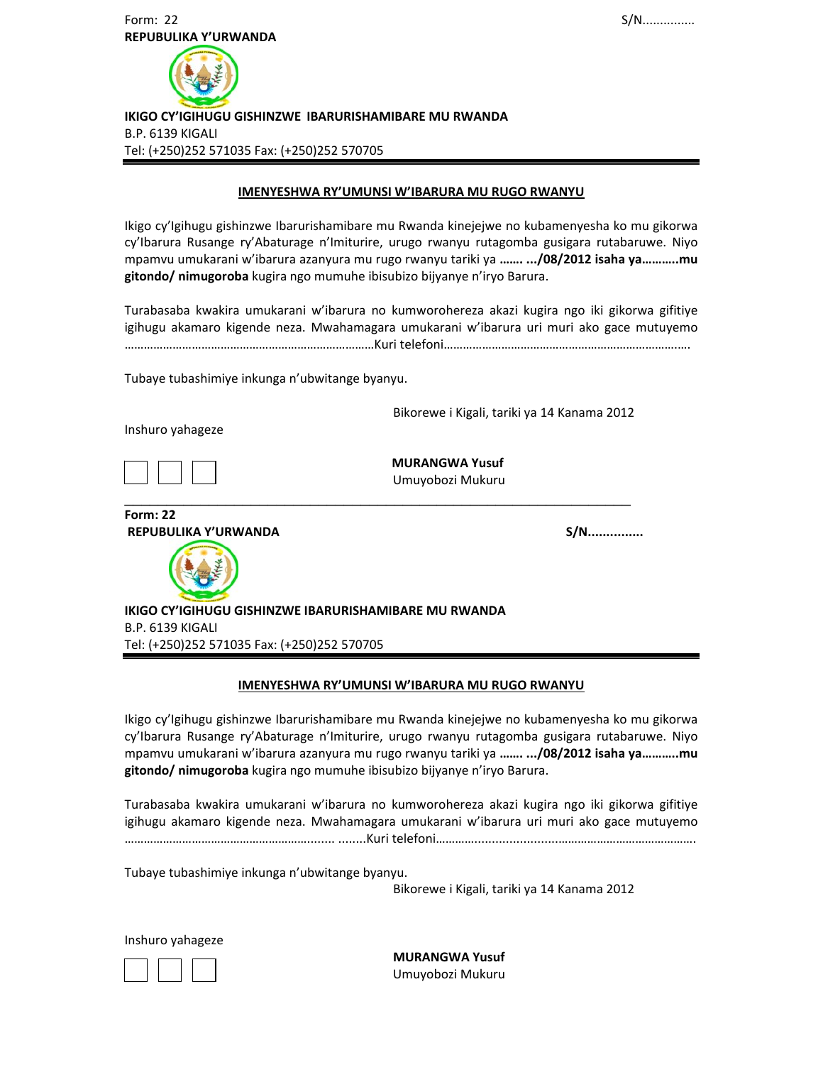

 **IKIGO CY'IGIHUGU GISHINZWE IBARURISHAMIBARE MU RWANDA**  B.P. 6139 KIGALI Tel: (+250)252 571035 Fax: (+250)252 570705

#### **IMENYESHWA RY'UMUNSI W'IBARURA MU RUGO RWANYU**

Ikigo cy'Igihugu gishinzwe Ibarurishamibare mu Rwanda kinejejwe no kubamenyesha ko mu gikorwa cy'Ibarura Rusange ry'Abaturage n'Imiturire, urugo rwanyu rutagomba gusigara rutabaruwe. Niyo mpamvu umukarani w'ibarura azanyura mu rugo rwanyu tariki ya **……. .../08/2012 isaha ya………..mu gitondo/ nimugoroba** kugira ngo mumuhe ibisubizo bijyanye n'iryo Barura.

Turabasaba kwakira umukarani w'ibarura no kumworohereza akazi kugira ngo iki gikorwa gifitiye igihugu akamaro kigende neza. Mwahamagara umukarani w'ibarura uri muri ako gace mutuyemo ……………………………………………………………………Kuri telefoni……………………………………………………………….….

Tubaye tubashimiye inkunga n'ubwitange byanyu.

Bikorewe i Kigali, tariki ya 14 Kanama 2012

Inshuro yahageze

 **MURANGWA Yusuf** Umuyobozi Mukuru \_\_\_\_\_\_\_\_\_\_\_\_\_\_\_\_\_\_\_\_\_\_\_\_\_\_\_\_\_\_\_\_\_\_\_\_\_\_\_\_\_\_\_\_\_\_\_\_\_\_\_\_\_\_\_\_\_\_\_\_

**Form: 22 REPUBULIKA Y'URWANDA S/N...............** 

 **IKIGO CY'IGIHUGU GISHINZWE IBARURISHAMIBARE MU RWANDA**  B.P. 6139 KIGALI Tel: (+250)252 571035 Fax: (+250)252 570705

#### **IMENYESHWA RY'UMUNSI W'IBARURA MU RUGO RWANYU**

Ikigo cy'Igihugu gishinzwe Ibarurishamibare mu Rwanda kinejejwe no kubamenyesha ko mu gikorwa cy'Ibarura Rusange ry'Abaturage n'Imiturire, urugo rwanyu rutagomba gusigara rutabaruwe. Niyo mpamvu umukarani w'ibarura azanyura mu rugo rwanyu tariki ya **……. .../08/2012 isaha ya………..mu gitondo/ nimugoroba** kugira ngo mumuhe ibisubizo bijyanye n'iryo Barura.

Turabasaba kwakira umukarani w'ibarura no kumworohereza akazi kugira ngo iki gikorwa gifitiye igihugu akamaro kigende neza. Mwahamagara umukarani w'ibarura uri muri ako gace mutuyemo …………………………………………………........ ........Kuri telefoni…………........................…………………………………….

Tubaye tubashimiye inkunga n'ubwitange byanyu.

Bikorewe i Kigali, tariki ya 14 Kanama 2012

Inshuro yahageze



 **MURANGWA Yusuf** Umuyobozi Mukuru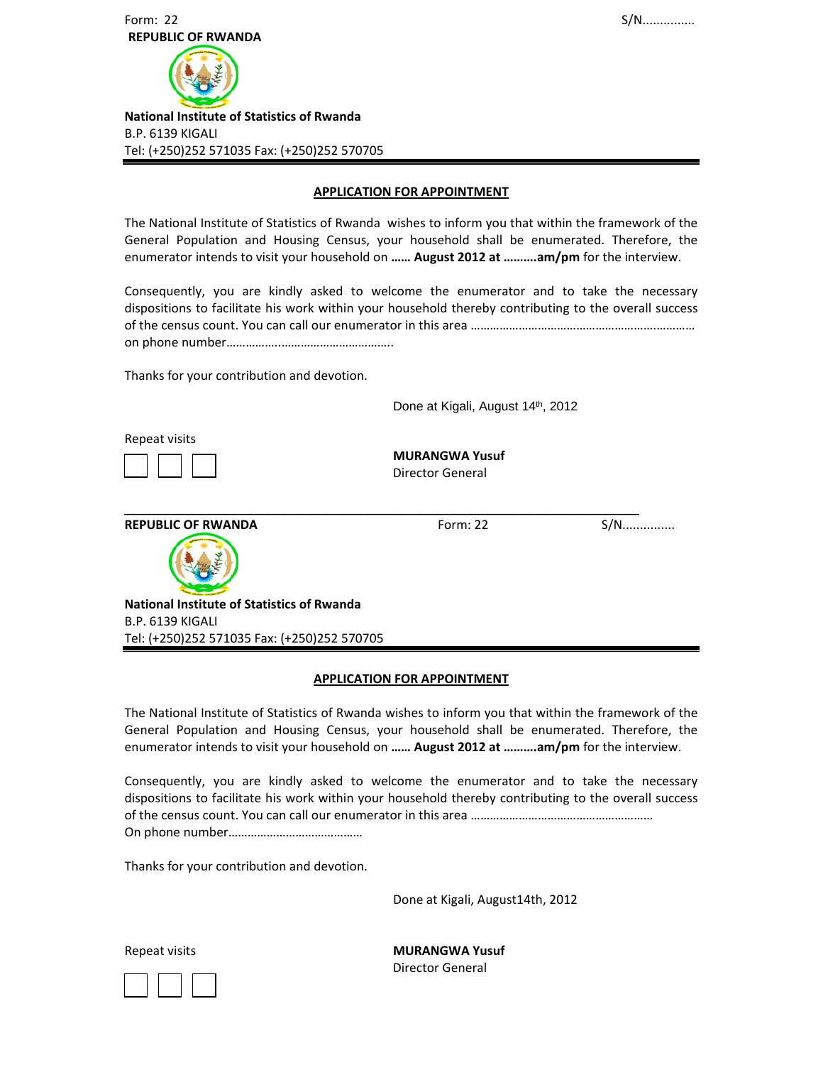

### **APPLICATION FOR APPOINTMENT**

The National Institute of Statistics of Rwanda wishes to inform you that within the framework of the General Population and Housing Census, your household shall be enumerated. Therefore, the enumerator intends to visit your household on **…… August 2012 at ……….am/pm** for the interview.

Consequently, you are kindly asked to welcome the enumerator and to take the necessary dispositions to facilitate his work within your household thereby contributing to the overall success of the census count. You can call our enumerator in this area ………………………………………………….………… on phone number……………..……………………………..

Thanks for your contribution and devotion.

Done at Kigali, August 14th, 2012

Repeat visits

 **MURANGWA Yusuf** Director General

**REPUBLIC OF RWANDA** Form: 22 S/N...............



 **National Institute of Statistics of Rwanda**  B.P. 6139 KIGALI Tel: (+250)252 571035 Fax: (+250)252 570705

### **APPLICATION FOR APPOINTMENT**

\_\_\_\_\_\_\_\_\_\_\_\_\_\_\_\_\_\_\_\_\_\_\_\_\_\_\_\_\_\_\_\_\_\_\_\_\_\_\_\_\_\_\_\_\_\_\_\_\_\_\_\_\_\_\_\_\_\_\_\_\_

The National Institute of Statistics of Rwanda wishes to inform you that within the framework of the General Population and Housing Census, your household shall be enumerated. Therefore, the enumerator intends to visit your household on **…… August 2012 at ……….am/pm** for the interview.

Consequently, you are kindly asked to welcome the enumerator and to take the necessary dispositions to facilitate his work within your household thereby contributing to the overall success of the census count. You can call our enumerator in this area ………………………………………………… On phone number……………………………………

Thanks for your contribution and devotion.

Done at Kigali, August14th, 2012

Repeat visits **MURANGWA Yusuf** Director General